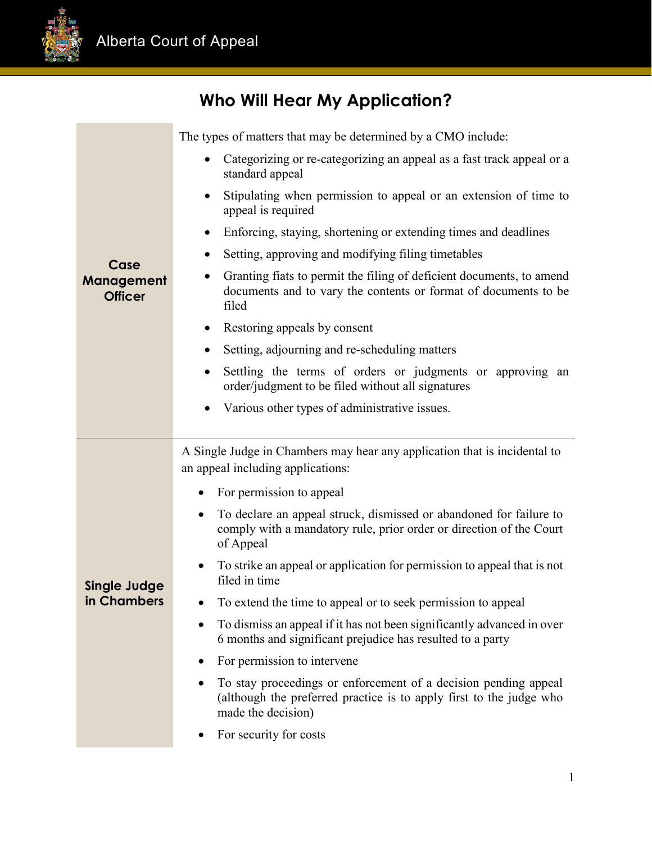

## **Who Will Hear My Application?**

| Case<br>Management<br><b>Officer</b> | The types of matters that may be determined by a CMO include:                                                                                                       |
|--------------------------------------|---------------------------------------------------------------------------------------------------------------------------------------------------------------------|
|                                      | Categorizing or re-categorizing an appeal as a fast track appeal or a<br>standard appeal                                                                            |
|                                      | Stipulating when permission to appeal or an extension of time to<br>$\bullet$<br>appeal is required                                                                 |
|                                      | Enforcing, staying, shortening or extending times and deadlines<br>$\bullet$                                                                                        |
|                                      | Setting, approving and modifying filing timetables                                                                                                                  |
|                                      | Granting fiats to permit the filing of deficient documents, to amend<br>documents and to vary the contents or format of documents to be<br>filed                    |
|                                      | Restoring appeals by consent<br>$\bullet$                                                                                                                           |
|                                      | Setting, adjourning and re-scheduling matters                                                                                                                       |
|                                      | Settling the terms of orders or judgments or approving an<br>order/judgment to be filed without all signatures                                                      |
|                                      | Various other types of administrative issues.                                                                                                                       |
|                                      |                                                                                                                                                                     |
|                                      | A Single Judge in Chambers may hear any application that is incidental to<br>an appeal including applications:                                                      |
|                                      | For permission to appeal                                                                                                                                            |
|                                      | To declare an appeal struck, dismissed or abandoned for failure to<br>$\bullet$<br>comply with a mandatory rule, prior order or direction of the Court<br>of Appeal |
| <b>Single Judge</b>                  | To strike an appeal or application for permission to appeal that is not<br>filed in time                                                                            |
| in Chambers                          | To extend the time to appeal or to seek permission to appeal                                                                                                        |
|                                      | To dismiss an appeal if it has not been significantly advanced in over<br>6 months and significant prejudice has resulted to a party                                |
|                                      | For permission to intervene                                                                                                                                         |
|                                      | To stay proceedings or enforcement of a decision pending appeal<br>(although the preferred practice is to apply first to the judge who<br>made the decision)        |